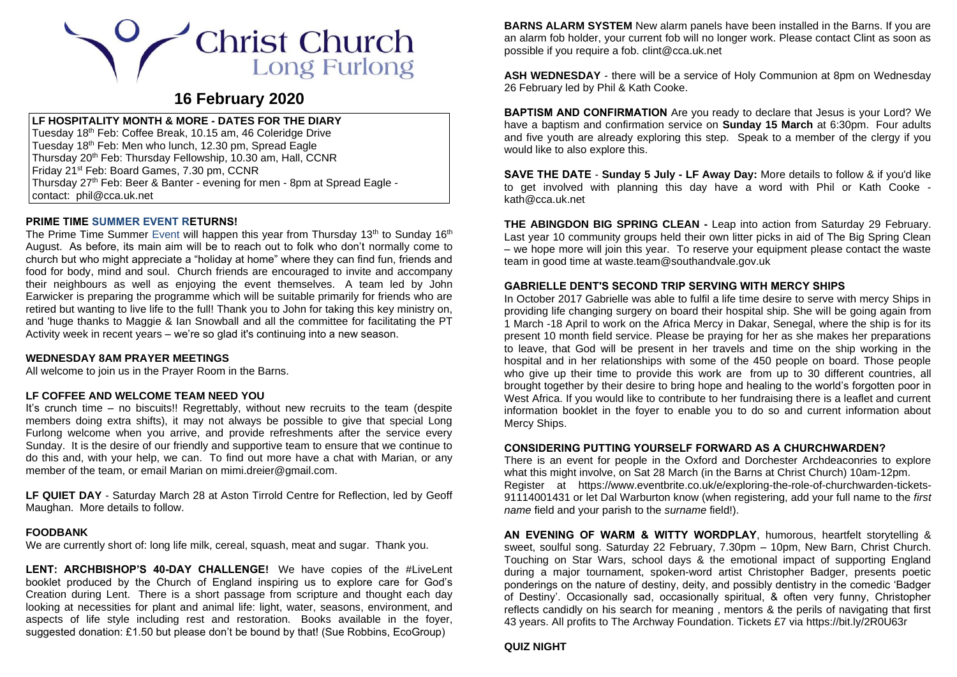# Christ Church **Long Furlong**

# **16 February 2020**

# **LF HOSPITALITY MONTH & MORE - DATES FOR THE DIARY**

Tuesday 18<sup>th</sup> Feb: Coffee Break, 10.15 am, 46 Coleridge Drive Tuesday 18th Feb: Men who lunch, 12.30 pm, Spread Eagle Thursday 20<sup>th</sup> Feb: Thursday Fellowship, 10.30 am, Hall, CCNR Friday 21st Feb: Board Games, 7.30 pm, CCNR Thursday 27<sup>th</sup> Feb: Beer & Banter - evening for men - 8pm at Spread Eagle contact: [phil@cca.uk.net](mailto:phil@cca.uk.net)

# **PRIME TIME SUMMER EVENT RETURNS!**

The Prime Time Summer Event will happen this year from Thursday  $13<sup>th</sup>$  to Sunday 16<sup>th</sup> August. As before, its main aim will be to reach out to folk who don't normally come to church but who might appreciate a "holiday at home" where they can find fun, friends and food for body, mind and soul. Church friends are encouraged to invite and accompany their neighbours as well as enjoying the event themselves. A team led by John Earwicker is preparing the programme which will be suitable primarily for friends who are retired but wanting to live life to the full! Thank you to John for taking this key ministry on, and 'huge thanks to Maggie & Ian Snowball and all the committee for facilitating the PT Activity week in recent years – we're so glad it's continuing into a new season.

# **WEDNESDAY 8AM PRAYER MEETINGS**

All welcome to join us in the Prayer Room in the Barns.

# **LF COFFEE AND WELCOME TEAM NEED YOU**

It's crunch time – no biscuits!! Regrettably, without new recruits to the team (despite members doing extra shifts), it may not always be possible to give that special Long Furlong welcome when you arrive, and provide refreshments after the service every Sunday. It is the desire of our friendly and supportive team to ensure that we continue to do this and, with your help, we can. To find out more have a chat with Marian, or any member of the team, or email Marian on [mimi.dreier@gmail.com.](mailto:mimi.dreier@gmail.com)

**LF QUIET DAY** - Saturday March 28 at Aston Tirrold Centre for Reflection, led by Geoff Maughan. More details to follow.

#### **FOODBANK**

We are currently short of: long life milk, cereal, squash, meat and sugar. Thank you.

**LENT: ARCHBISHOP'S 40-DAY CHALLENGE!** We have copies of the #LiveLent booklet produced by the Church of England inspiring us to explore care for God's Creation during Lent. There is a short passage from scripture and thought each day looking at necessities for plant and animal life: light, water, seasons, environment, and aspects of life style including rest and restoration. Books available in the foyer, suggested donation: £1.50 but please don't be bound by that! (Sue Robbins, EcoGroup)

**BARNS ALARM SYSTEM** New alarm panels have been installed in the Barns. If you are an alarm fob holder, your current fob will no longer work. Please contact Clint as soon as possible if you require a fob. [clint@cca.uk.net](mailto:clint@cca.uk.net)

**ASH WEDNESDAY** - there will be a service of Holy Communion at 8pm on Wednesday 26 February led by Phil & Kath Cooke.

**BAPTISM AND CONFIRMATION** Are you ready to declare that Jesus is your Lord? We have a baptism and confirmation service on **Sunday 15 March** at 6:30pm. Four adults and five youth are already exploring this step. Speak to a member of the clergy if you would like to also explore this.

**SAVE THE DATE** - **Sunday 5 July - LF Away Day:** More details to follow & if you'd like to get involved with planning this day have a word with Phil or Kath Cooke [kath@cca.uk.net](mailto:kath@cca.uk.net)

**THE ABINGDON BIG SPRING CLEAN -** Leap into action from Saturday 29 February. Last year 10 community groups held their own litter picks in aid of The Big Spring Clean – we hope more will join this year. To reserve your equipment please contact the waste team in good time at [waste.team@southandvale.gov.uk](mailto:waste.team@southandvale.gov.uk)

#### **GABRIELLE DENT'S SECOND TRIP SERVING WITH MERCY SHIPS**

In October 2017 Gabrielle was able to fulfil a life time desire to serve with mercy Ships in providing life changing surgery on board their hospital ship. She will be going again from 1 March -18 April to work on the Africa Mercy in Dakar, Senegal, where the ship is for its present 10 month field service. Please be praying for her as she makes her preparations to leave, that God will be present in her travels and time on the ship working in the hospital and in her relationships with some of the 450 people on board. Those people who give up their time to provide this work are from up to 30 different countries, all brought together by their desire to bring hope and healing to the world's forgotten poor in West Africa. If you would like to contribute to her fundraising there is a leaflet and current information booklet in the foyer to enable you to do so and current information about Mercy Ships.

#### **CONSIDERING PUTTING YOURSELF FORWARD AS A CHURCHWARDEN?**

There is an event for people in the Oxford and Dorchester Archdeaconries to explore what this might involve, on Sat 28 March (in the Barns at Christ Church) 10am-12pm. Register at [https://www.eventbrite.co.uk/e/exploring-the-role-of-churchwarden-tickets-](https://www.eventbrite.co.uk/e/exploring-the-role-of-churchwarden-tickets-91114001431)[91114001431](https://www.eventbrite.co.uk/e/exploring-the-role-of-churchwarden-tickets-91114001431) or let Dal Warburton know (when registering, add your full name to the *first name* field and your parish to the *surname* field!).

**AN EVENING OF WARM & WITTY WORDPLAY**, humorous, heartfelt storytelling & sweet, soulful song. Saturday 22 February, 7.30pm – 10pm, New Barn, Christ Church. Touching on Star Wars, school days & the emotional impact of supporting England during a major tournament, spoken-word artist Christopher Badger, presents poetic ponderings on the nature of destiny, deity, and possibly dentistry in the comedic 'Badger of Destiny'. Occasionally sad, occasionally spiritual, & often very funny, Christopher reflects candidly on his search for meaning , mentors & the perils of navigating that first 43 years. All profits to The Archway Foundation. Tickets £7 via<https://bit.ly/2R0U63r>

# **QUIZ NIGHT**